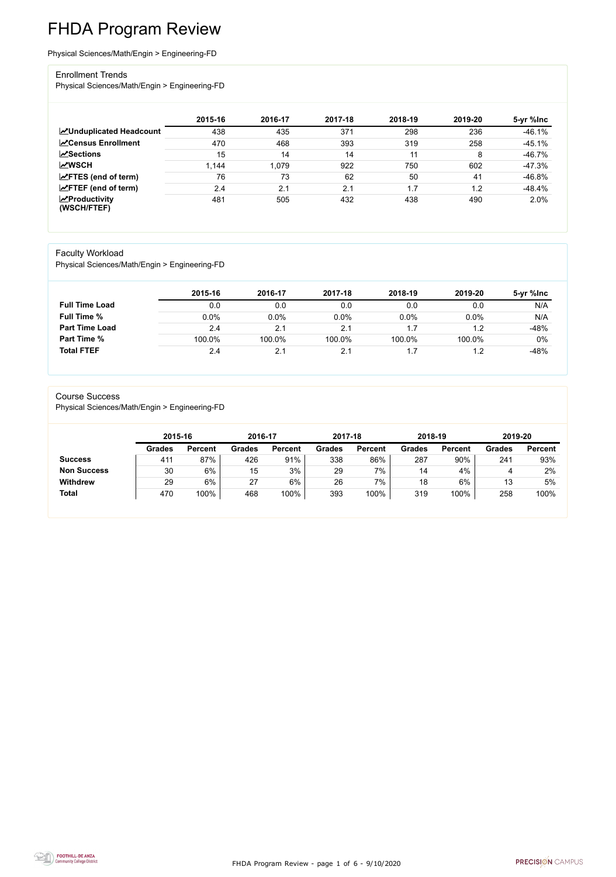FHDA Program Review - page 1 of 6 - 9/10/2020



# FHDA Program Review

Physical Sciences/Math/Engin > Engineering-FD

#### Enrollment Trends

Physical Sciences/Math/Engin > Engineering-FD

|                                                  | 2015-16 | 2016-17 | 2017-18 | 2018-19 | 2019-20 | 5-yr %lnc |
|--------------------------------------------------|---------|---------|---------|---------|---------|-----------|
| <b>ZUnduplicated Headcount</b>                   | 438     | 435     | 371     | 298     | 236     | $-46.1%$  |
| <b>ZCensus Enrollment</b>                        | 470     | 468     | 393     | 319     | 258     | $-45.1%$  |
| <b>ZSections</b>                                 | 15      | 14      | 14      | 11      | 8       | $-46.7%$  |
| <b>MWSCH</b>                                     | 1,144   | 1,079   | 922     | 750     | 602     | $-47.3%$  |
| $\angle$ FTES (end of term)                      | 76      | 73      | 62      | 50      | 41      | $-46.8%$  |
| $\angle$ FTEF (end of term)                      | 2.4     | 2.1     | 2.1     | 1.7     | 1.2     | $-48.4%$  |
| $\sqrt{\frac{1}{2}}$ Productivity<br>(WSCH/FTEF) | 481     | 505     | 432     | 438     | 490     | 2.0%      |

#### Faculty Workload

Physical Sciences/Math/Engin > Engineering-FD

|                       | 2015-16 | 2016-17 | 2017-18 | 2018-19 | 2019-20 | 5-yr %lnc |
|-----------------------|---------|---------|---------|---------|---------|-----------|
| <b>Full Time Load</b> | 0.0     | 0.0     | 0.0     | 0.0     | 0.0     | N/A       |
| <b>Full Time %</b>    | 0.0%    | 0.0%    | 0.0%    | 0.0%    | 0.0%    | N/A       |
| <b>Part Time Load</b> | 2.4     | 2.1     | 2.1     |         | 1.2     | $-48%$    |
| <b>Part Time %</b>    | 100.0%  | 100.0%  | 100.0%  | 100.0%  | 100.0%  | 0%        |
| <b>Total FTEF</b>     | 2.4     | 2.1     |         |         |         | $-48%$    |

#### Course Success

Physical Sciences/Math/Engin > Engineering-FD

| 2015-16       |                | 2016-17 |                | 2017-18       |                | 2018-19       |                | 2019-20       |                |
|---------------|----------------|---------|----------------|---------------|----------------|---------------|----------------|---------------|----------------|
| <b>Grades</b> | <b>Percent</b> | Grades  | <b>Percent</b> | <b>Grades</b> | <b>Percent</b> | <b>Grades</b> | <b>Percent</b> | <b>Grades</b> | <b>Percent</b> |
| 411           | 87%            | 426     | 91%            | 338           | 86%            | 287           | 90%            | 241           | 93%            |
| 30            | 6%             | 15      | 3%             | 29            | 7%             | 14            | 4%             | 4             | 2%             |
| 29            | 6%             | 27      | 6%             | 26            | 7%             | 18            | 6%             | 13            | 5%             |
| 470           | 100%           | 468     | 100%           | 393           | 100%           | 319           | 100%           | 258           | 100%           |
|               |                |         |                |               |                |               |                |               |                |

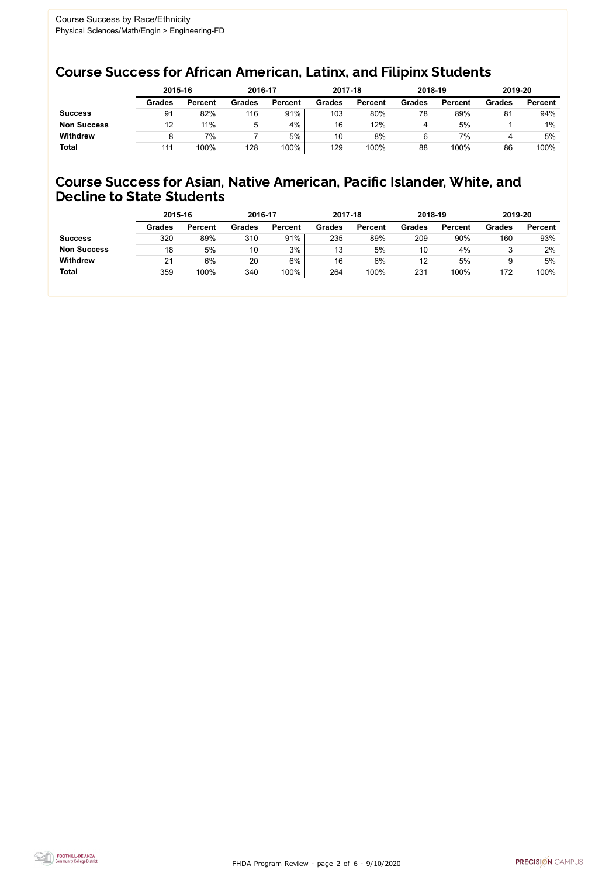FHDA Program Review - page 2 of 6 - 9/10/2020



## Course Success for African American, Latinx, and Filipinx Students

## Course Success for Asian, Native American, Pacific Islander, White, and Decline to State Students

|                    | 2015-16       |                | 2016-17       |                | 2017-18       |                | 2018-19       |                | 2019-20       |                |
|--------------------|---------------|----------------|---------------|----------------|---------------|----------------|---------------|----------------|---------------|----------------|
|                    | <b>Grades</b> | <b>Percent</b> | <b>Grades</b> | <b>Percent</b> | <b>Grades</b> | <b>Percent</b> | <b>Grades</b> | <b>Percent</b> | <b>Grades</b> | <b>Percent</b> |
| <b>Success</b>     | 91            | 82%            | 116           | 91%            | 103           | 80%            | 78            | 89%            | 81            | 94%            |
| <b>Non Success</b> | 12            | 11%            | ა             | 4%             | 16            | 12%            |               | 5%             |               | $1\%$          |
| <b>Withdrew</b>    |               | 7%             |               | 5%             | 10            | 8%             |               | 7%             |               | 5%             |
| <b>Total</b>       | 111           | 100%           | 128           | 100%           | 129           | 100%           | 88            | 100%           | 86            | 100%           |

|                    | 2015-16       |                | 2016-17       |                | 2017-18       |                | 2018-19       |                | 2019-20       |                |
|--------------------|---------------|----------------|---------------|----------------|---------------|----------------|---------------|----------------|---------------|----------------|
|                    | <b>Grades</b> | <b>Percent</b> | <b>Grades</b> | <b>Percent</b> | <b>Grades</b> | <b>Percent</b> | <b>Grades</b> | <b>Percent</b> | <b>Grades</b> | <b>Percent</b> |
| <b>Success</b>     | 320           | 89%            | 310           | 91%            | 235           | 89%            | 209           | 90%            | 160           | 93%            |
| <b>Non Success</b> | 18            | 5%             | 10            | 3%             | 13            | 5%             | 10            | 4%             |               | 2%             |
| <b>Withdrew</b>    | 21            | 6%             | 20            | 6%             | 16            | $6\%$          | 12            | 5%             |               | 5%             |
| <b>Total</b>       | 359           | 100%           | 340           | 100%           | 264           | 100%           | 231           | 100%           | 172           | 100%           |
|                    |               |                |               |                |               |                |               |                |               |                |

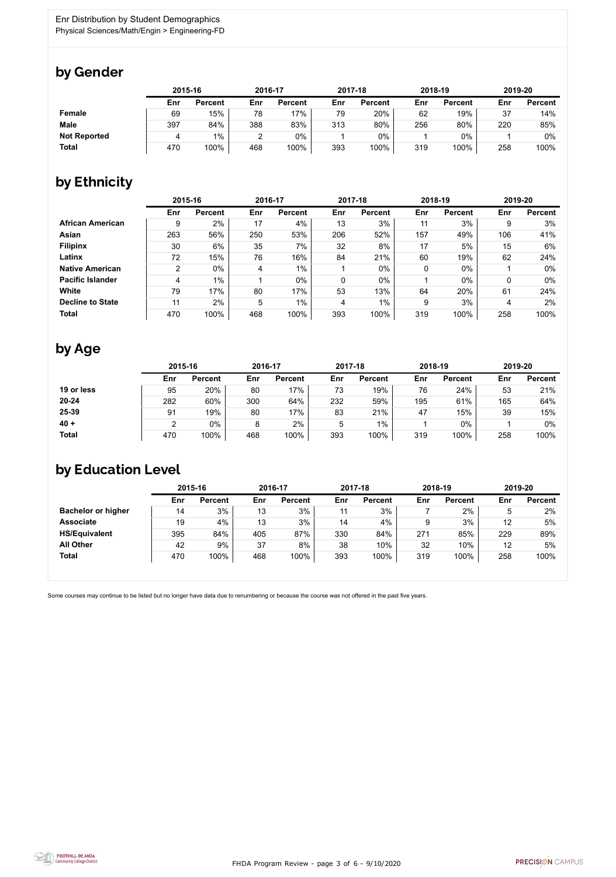

Some courses may continue to be listed but no longer have data due to renumbering or because the course was not offered in the past five years.



## by Gender

|                     |     | 2015-16        |     | 2016-17        |     | 2017-18        |     | 2018-19        |     | 2019-20        |  |
|---------------------|-----|----------------|-----|----------------|-----|----------------|-----|----------------|-----|----------------|--|
|                     | Enr | <b>Percent</b> | Enr | <b>Percent</b> | Enr | <b>Percent</b> | Enr | <b>Percent</b> | Enr | <b>Percent</b> |  |
| <b>Female</b>       | 69  | 15%            | 78  | 17%            | 79  | 20%            | 62  | 19%            | 37  | 14%            |  |
| <b>Male</b>         | 397 | 84%            | 388 | 83%            | 313 | 80%            | 256 | 80%            | 220 | 85%            |  |
| <b>Not Reported</b> |     | $1\%$          | ົ   | 0%             |     | 0%             |     | 0%             |     | 0%             |  |
| <b>Total</b>        | 470 | 100%           | 468 | 100%           | 393 | 100%           | 319 | 100%           | 258 | 100%           |  |

## by Ethnicity

|                         |                | 2015-16        |     | 2016-17        |             | 2017-18        |     | 2018-19        | 2019-20 |                |
|-------------------------|----------------|----------------|-----|----------------|-------------|----------------|-----|----------------|---------|----------------|
|                         | Enr            | <b>Percent</b> | Enr | <b>Percent</b> | Enr         | <b>Percent</b> | Enr | <b>Percent</b> | Enr     | <b>Percent</b> |
| <b>African American</b> | 9              | 2%             | 17  | 4%             | 13          | 3%             | 11  | 3%             | 9       | 3%             |
| <b>Asian</b>            | 263            | 56%            | 250 | 53%            | 206         | 52%            | 157 | 49%            | 106     | 41%            |
| <b>Filipinx</b>         | 30             | 6%             | 35  | 7%             | 32          | 8%             | 17  | 5%             | 15      | 6%             |
| Latinx                  | 72             | 15%            | 76  | 16%            | 84          | 21%            | 60  | 19%            | 62      | 24%            |
| <b>Native American</b>  | $\overline{2}$ | $0\%$          | 4   | $1\%$          |             | $0\%$          | 0   | $0\%$          |         | $0\%$          |
| <b>Pacific Islander</b> | 4              | $1\%$          |     | $0\%$          | $\mathbf 0$ | $0\%$          |     | $0\%$          |         | $0\%$          |
| <b>White</b>            | 79             | 17%            | 80  | 17%            | 53          | 13%            | 64  | 20%            | 61      | 24%            |
| <b>Decline to State</b> | 11             | 2%             | 5   | $1\%$          | 4           | $1\%$          | 9   | 3%             | 4       | 2%             |
| <b>Total</b>            | 470            | 100%           | 468 | 100%           | 393         | 100%           | 319 | 100%           | 258     | 100%           |

## by Age

|              | 2015-16 |                |     | 2016-17        |     | 2017-18        | 2018-19 |                | 2019-20 |                |
|--------------|---------|----------------|-----|----------------|-----|----------------|---------|----------------|---------|----------------|
|              | Enr     | <b>Percent</b> | Enr | <b>Percent</b> | Enr | <b>Percent</b> | Enr     | <b>Percent</b> | Enr     | <b>Percent</b> |
| 19 or less   | 95      | 20%            | 80  | 17%            | 73  | 19%            | 76      | 24%            | 53      | 21%            |
| $20 - 24$    | 282     | 60%            | 300 | 64%            | 232 | 59%            | 195     | 61%            | 165     | 64%            |
| 25-39        | 91      | 19%            | 80  | 17%            | 83  | 21%            | 47      | 15%            | 39      | 15%            |
| $40 +$       |         | 0%             |     | 2%             | 5   | $1\%$          |         | $0\%$          |         | 0%             |
| <b>Total</b> | 470     | 100%           | 468 | 100%           | 393 | 100%           | 319     | 100%           | 258     | 100%           |

## by Education Level

|                           | 2015-16 |                |     | 2016-17        |     | 2017-18        | 2018-19 |                | 2019-20 |                |
|---------------------------|---------|----------------|-----|----------------|-----|----------------|---------|----------------|---------|----------------|
|                           | Enr     | <b>Percent</b> | Enr | <b>Percent</b> | Enr | <b>Percent</b> | Enr     | <b>Percent</b> | Enr     | <b>Percent</b> |
| <b>Bachelor or higher</b> | 14      | 3%             | 13  | 3%             | 11  | 3%             |         | 2%             |         | 2%             |
| <b>Associate</b>          | 19      | 4%             | 13  | 3%             | 14  | 4%             |         | 3%             | 12      | 5%             |
| <b>HS/Equivalent</b>      | 395     | 84%            | 405 | 87%            | 330 | 84%            | 271     | 85%            | 229     | 89%            |
| <b>All Other</b>          | 42      | 9%             | 37  | 8%             | 38  | 10%            | 32      | 10%            | 12      | 5%             |
| <b>Total</b>              | 470     | 100%           | 468 | 100%           | 393 | 100%           | 319     | 100%           | 258     | 100%           |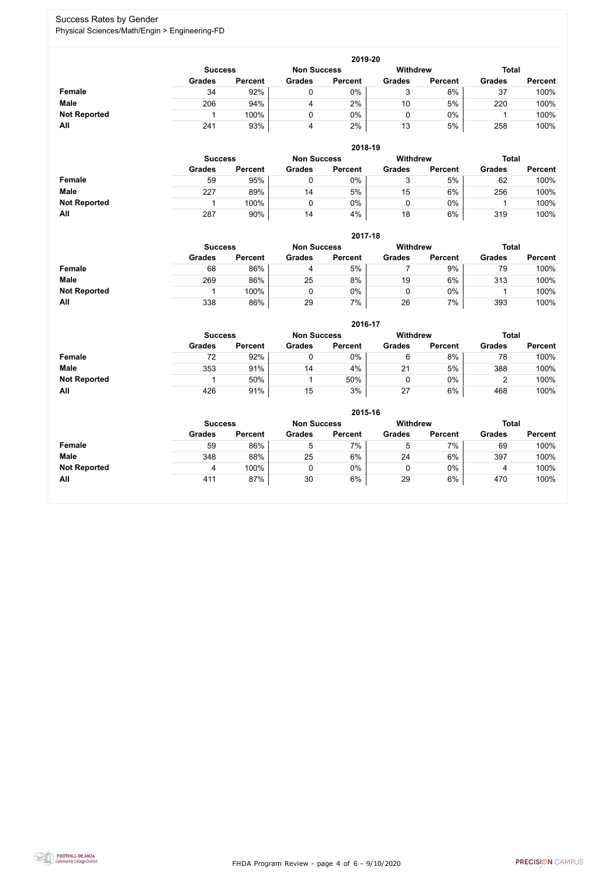FHDA Program Review - page 4 of 6 - 9/10/2020



## Success Rates by Gender Physical Sciences/Math/Engin > Engineering-FD

|                     | 2019-20       |                                                                         |               |                |               |                |               |                |  |  |  |  |  |
|---------------------|---------------|-------------------------------------------------------------------------|---------------|----------------|---------------|----------------|---------------|----------------|--|--|--|--|--|
|                     |               | <b>Withdrew</b><br><b>Total</b><br><b>Non Success</b><br><b>Success</b> |               |                |               |                |               |                |  |  |  |  |  |
|                     | <b>Grades</b> | <b>Percent</b>                                                          | <b>Grades</b> | <b>Percent</b> | <b>Grades</b> | <b>Percent</b> | <b>Grades</b> | <b>Percent</b> |  |  |  |  |  |
| <b>Female</b>       | 34            | 92%                                                                     |               | 0%             | ັ             | 8%             | 37            | 100%           |  |  |  |  |  |
| <b>Male</b>         | 206           | 94%                                                                     | 4             | 2%             | 10            | 5%             | 220           | 100%           |  |  |  |  |  |
| <b>Not Reported</b> |               | 100%                                                                    |               | 0%             | U             | $0\%$          |               | 100%           |  |  |  |  |  |
| All                 | 241           | 93%                                                                     | 4             | 2%             | 13            | 5%             | 258           | 100%           |  |  |  |  |  |

|                     |                | 2018-19        |                    |                |               |                 |               |                |  |  |  |  |  |  |
|---------------------|----------------|----------------|--------------------|----------------|---------------|-----------------|---------------|----------------|--|--|--|--|--|--|
|                     | <b>Success</b> |                | <b>Non Success</b> |                |               | <b>Withdrew</b> | <b>Total</b>  |                |  |  |  |  |  |  |
|                     | <b>Grades</b>  | <b>Percent</b> | <b>Grades</b>      | <b>Percent</b> | <b>Grades</b> | <b>Percent</b>  | <b>Grades</b> | <b>Percent</b> |  |  |  |  |  |  |
| <b>Female</b>       | 59             | 95%            |                    | 0%             | ບ             | 5%              | 62            | 100%           |  |  |  |  |  |  |
| <b>Male</b>         | 227            | 89%            | 14                 | 5%             | 15            | 6%              | 256           | 100%           |  |  |  |  |  |  |
| <b>Not Reported</b> |                | 100%           |                    | 0%             |               | 0%              |               | 100%           |  |  |  |  |  |  |
| All                 | 287            | 90%            | 14                 | 4%             | 18            | 6%              | 319           | 100%           |  |  |  |  |  |  |

|                     |                | 2017-18        |                    |                |                 |                |               |                |  |  |  |  |  |  |
|---------------------|----------------|----------------|--------------------|----------------|-----------------|----------------|---------------|----------------|--|--|--|--|--|--|
|                     | <b>Success</b> |                | <b>Non Success</b> |                | <b>Withdrew</b> |                | <b>Total</b>  |                |  |  |  |  |  |  |
|                     | <b>Grades</b>  | <b>Percent</b> | <b>Grades</b>      | <b>Percent</b> | <b>Grades</b>   | <b>Percent</b> | <b>Grades</b> | <b>Percent</b> |  |  |  |  |  |  |
| <b>Female</b>       | 68             | 86%            | 4                  | 5%             |                 | 9%             | 79            | 100%           |  |  |  |  |  |  |
| <b>Male</b>         | 269            | 86%            | 25                 | 8%             | 19              | 6%             | 313           | 100%           |  |  |  |  |  |  |
| <b>Not Reported</b> |                | 100%           | 0                  | 0%             | 0               | 0%             |               | 100%           |  |  |  |  |  |  |
| All                 | 338            | 86%            | 29                 | 7%             | 26              | 7%             | 393           | 100%           |  |  |  |  |  |  |

|                     |               | 2016-17        |               |                |               |                 |               |                |  |  |
|---------------------|---------------|----------------|---------------|----------------|---------------|-----------------|---------------|----------------|--|--|
|                     |               | <b>Success</b> |               |                |               | <b>Withdrew</b> | <b>Total</b>  |                |  |  |
|                     | <b>Grades</b> | <b>Percent</b> | <b>Grades</b> | <b>Percent</b> | <b>Grades</b> | <b>Percent</b>  | <b>Grades</b> | <b>Percent</b> |  |  |
| Female              | 72            | 92%            |               | 0%             | 6             | 8%              | 78            | 100%           |  |  |
| <b>Male</b>         | 353           | 91%            | 14            | 4%             | 21            | 5%              | 388           | 100%           |  |  |
| <b>Not Reported</b> |               | 50%            |               | 50%            |               | $0\%$           |               | 100%           |  |  |
| <b>All</b>          | 426           | 91%            | 15            | 3%             | 27            | 6%              | 468           | 100%           |  |  |

|                     |                | 2015-16        |                    |                |               |                |               |                |  |  |
|---------------------|----------------|----------------|--------------------|----------------|---------------|----------------|---------------|----------------|--|--|
|                     | <b>Success</b> |                | <b>Non Success</b> |                | Withdrew      |                | <b>Total</b>  |                |  |  |
|                     | <b>Grades</b>  | <b>Percent</b> | <b>Grades</b>      | <b>Percent</b> | <b>Grades</b> | <b>Percent</b> | <b>Grades</b> | <b>Percent</b> |  |  |
| Female              | 59             | 86%            | 5                  | 7%             | ხ             | 7%             | 69            | 100%           |  |  |
| <b>Male</b>         | 348            | 88%            | 25                 | 6%             | 24            | 6%             | 397           | 100%           |  |  |
| <b>Not Reported</b> | 4              | 100%           | 0                  | $0\%$          | ν             | $0\%$          | 4             | 100%           |  |  |
| All                 | 411            | 87%            | 30                 | 6%             | 29            | 6%             | 470           | 100%           |  |  |

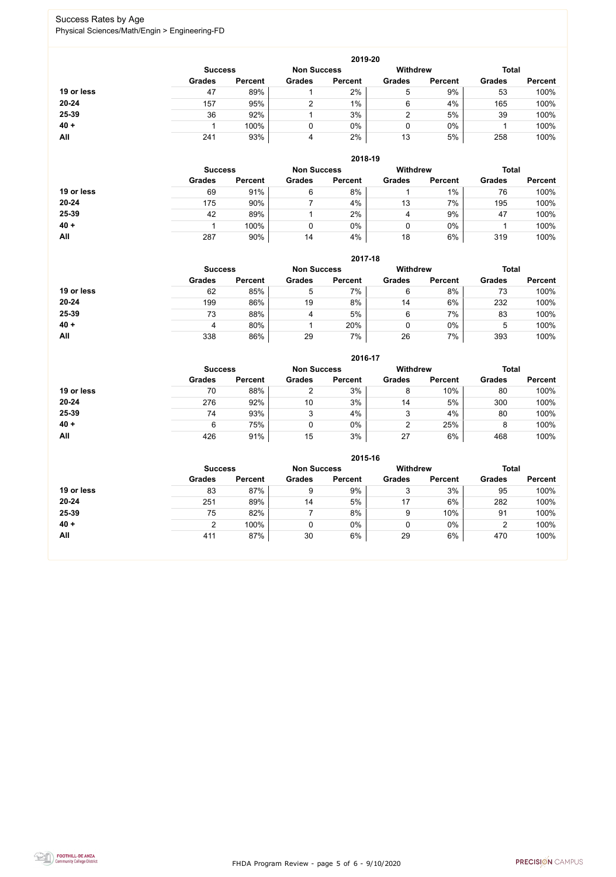FHDA Program Review - page 5 of 6 - 9/10/2020



## Success Rates by Age Physical Sciences/Math/Engin > Engineering-FD

|            |                |                |                    | 2019-20        |                 |                |               |                |
|------------|----------------|----------------|--------------------|----------------|-----------------|----------------|---------------|----------------|
|            | <b>Success</b> |                | <b>Non Success</b> |                | <b>Withdrew</b> |                | <b>Total</b>  |                |
|            | <b>Grades</b>  | <b>Percent</b> | <b>Grades</b>      | <b>Percent</b> | <b>Grades</b>   | <b>Percent</b> | <b>Grades</b> | <b>Percent</b> |
| 19 or less | 47             | 89%            |                    | 2%             | 5               | 9%             | 53            | 100%           |
| $20 - 24$  | 157            | 95%            | ⌒                  | 1%             | 6               | 4%             | 165           | 100%           |
| 25-39      | 36             | 92%            |                    | 3%             |                 | 5%             | 39            | 100%           |
| $40 +$     |                | 100%           |                    | $0\%$          | 0               | $0\%$          |               | 100%           |
| All        | 241            | 93%            | 4                  | 2%             | 13              | 5%             | 258           | 100%           |

|            |                |                    |               | 2018-19         |               |                |               |                |
|------------|----------------|--------------------|---------------|-----------------|---------------|----------------|---------------|----------------|
|            | <b>Success</b> | <b>Non Success</b> |               | <b>Withdrew</b> | <b>Total</b>  |                |               |                |
|            | <b>Grades</b>  | <b>Percent</b>     | <b>Grades</b> | <b>Percent</b>  | <b>Grades</b> | <b>Percent</b> | <b>Grades</b> | <b>Percent</b> |
| 19 or less | 69             | 91%                | 6             | 8%              |               | 1%             | 76            | 100%           |
| $20 - 24$  | 175            | 90%                |               | 4%              | 13            | 7%             | 195           | 100%           |
| 25-39      | 42             | 89%                |               | 2%              | 4             | 9%             | 47            | 100%           |
| $40 +$     |                | 100%               |               | 0%              |               | 0%             |               | 100%           |
| All        | 287            | 90%                | 14            | 4%              | 18            | 6%             | 319           | 100%           |

## **2017-18**

|            |                |                    |               | 2017-18         |               |                |               |                |
|------------|----------------|--------------------|---------------|-----------------|---------------|----------------|---------------|----------------|
|            | <b>Success</b> | <b>Non Success</b> |               | <b>Withdrew</b> |               | <b>Total</b>   |               |                |
|            | <b>Grades</b>  | <b>Percent</b>     | <b>Grades</b> | <b>Percent</b>  | <b>Grades</b> | <b>Percent</b> | <b>Grades</b> | <b>Percent</b> |
| 19 or less | 62             | 85%                | 5             | 7%              | 6             | 8%             | 73            | 100%           |
| $20 - 24$  | 199            | 86%                | 19            | 8%              | 14            | 6%             | 232           | 100%           |
| 25-39      | 73             | 88%                | 4             | 5%              | 6             | 7%             | 83            | 100%           |
| $40 +$     | Д              | 80%                |               | 20%             |               | $0\%$          | ხ             | 100%           |
| All        | 338            | 86%                | 29            | 7%              | 26            | 7%             | 393           | 100%           |

#### **2016-17**



|            |                |                    |               | <b>ZU16-17</b>  |               |                |               |                |
|------------|----------------|--------------------|---------------|-----------------|---------------|----------------|---------------|----------------|
|            | <b>Success</b> | <b>Non Success</b> |               | <b>Withdrew</b> |               | <b>Total</b>   |               |                |
|            | <b>Grades</b>  | <b>Percent</b>     | <b>Grades</b> | <b>Percent</b>  | <b>Grades</b> | <b>Percent</b> | <b>Grades</b> | <b>Percent</b> |
| 19 or less | 70             | 88%                | ◠             | 3%              | 8             | 10%            | 80            | 100%           |
| $20 - 24$  | 276            | 92%                | 10            | 3%              | 14            | 5%             | 300           | 100%           |
| 25-39      | 74             | 93%                | ົ<br>د        | 4%              | 3             | 4%             | 80            | 100%           |
| $40 +$     | 6              | 75%                |               | $0\%$           | っ             | 25%            |               | 100%           |
| All        | 426            | 91%                | 15            | 3%              | 27            | 6%             | 468           | 100%           |

|            |                                      |                |               | 2015-16        |                 |                |               |                |
|------------|--------------------------------------|----------------|---------------|----------------|-----------------|----------------|---------------|----------------|
|            | <b>Non Success</b><br><b>Success</b> |                |               |                | <b>Withdrew</b> |                | <b>Total</b>  |                |
|            | <b>Grades</b>                        | <b>Percent</b> | <b>Grades</b> | <b>Percent</b> | <b>Grades</b>   | <b>Percent</b> | <b>Grades</b> | <b>Percent</b> |
| 19 or less | 83                                   | 87%            | 9             | 9%             | 3               | 3%             | 95            | 100%           |
| $20 - 24$  | 251                                  | 89%            | 14            | 5%             | 17              | 6%             | 282           | 100%           |
| 25-39      | 75                                   | 82%            |               | 8%             | 9               | 10%            | 91            | 100%           |
| $40 +$     | າ                                    | 100%           |               | 0%             |                 | 0%             | າ             | 100%           |
| <b>All</b> | 411                                  | 87%            | 30            | 6%             | 29              | 6%             | 470           | 100%           |